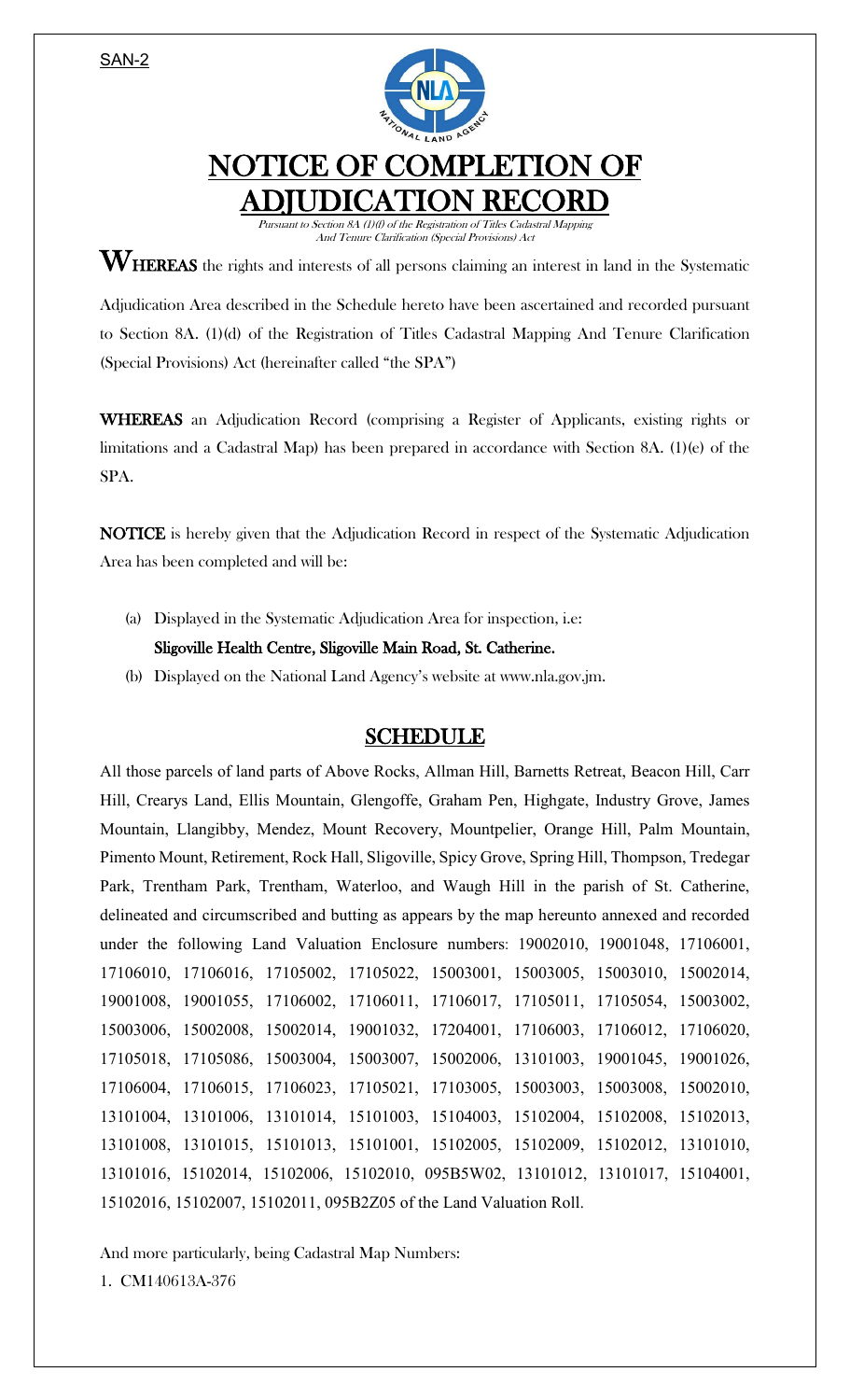SAN-2



## NOTICE OF COMPLETION OF ADJUDICATION RECORD

Pursuant to Section 8A (1)(f) of the Registration of Titles Cadastral Mapping And Tenure Clarification (Special Provisions) Act

 $\mathbf{W}_{\text{HEREAS}}$  the rights and interests of all persons claiming an interest in land in the Systematic

Adjudication Area described in the Schedule hereto have been ascertained and recorded pursuant to Section 8A. (1)(d) of the Registration of Titles Cadastral Mapping And Tenure Clarification (Special Provisions) Act (hereinafter called "the SPA")

WHEREAS an Adjudication Record (comprising a Register of Applicants, existing rights or limitations and a Cadastral Map) has been prepared in accordance with Section 8A. (1)(e) of the SPA.

NOTICE is hereby given that the Adjudication Record in respect of the Systematic Adjudication Area has been completed and will be:

(a) Displayed in the Systematic Adjudication Area for inspection, i.e:

Sligoville Health Centre, Sligoville Main Road, St. Catherine.

(b) Displayed on the National Land Agency's website at www.nla.gov.jm.

## SCHEDULE

All those parcels of land parts of Above Rocks, Allman Hill, Barnetts Retreat, Beacon Hill, Carr Hill, Crearys Land, Ellis Mountain, Glengoffe, Graham Pen, Highgate, Industry Grove, James Mountain, Llangibby, Mendez, Mount Recovery, Mountpelier, Orange Hill, Palm Mountain, Pimento Mount, Retirement, Rock Hall, Sligoville, Spicy Grove, Spring Hill, Thompson, Tredegar Park, Trentham Park, Trentham, Waterloo, and Waugh Hill in the parish of St. Catherine, delineated and circumscribed and butting as appears by the map hereunto annexed and recorded under the following Land Valuation Enclosure numbers: 19002010, 19001048, 17106001, 17106010, 17106016, 17105002, 17105022, 15003001, 15003005, 15003010, 15002014, 19001008, 19001055, 17106002, 17106011, 17106017, 17105011, 17105054, 15003002, 15003006, 15002008, 15002014, 19001032, 17204001, 17106003, 17106012, 17106020, 17105018, 17105086, 15003004, 15003007, 15002006, 13101003, 19001045, 19001026, 17106004, 17106015, 17106023, 17105021, 17103005, 15003003, 15003008, 15002010, 13101004, 13101006, 13101014, 15101003, 15104003, 15102004, 15102008, 15102013, 13101008, 13101015, 15101013, 15101001, 15102005, 15102009, 15102012, 13101010, 13101016, 15102014, 15102006, 15102010, 095B5W02, 13101012, 13101017, 15104001, 15102016, 15102007, 15102011, 095B2Z05 of the Land Valuation Roll.

And more particularly, being Cadastral Map Numbers: 1. CM140613A-376